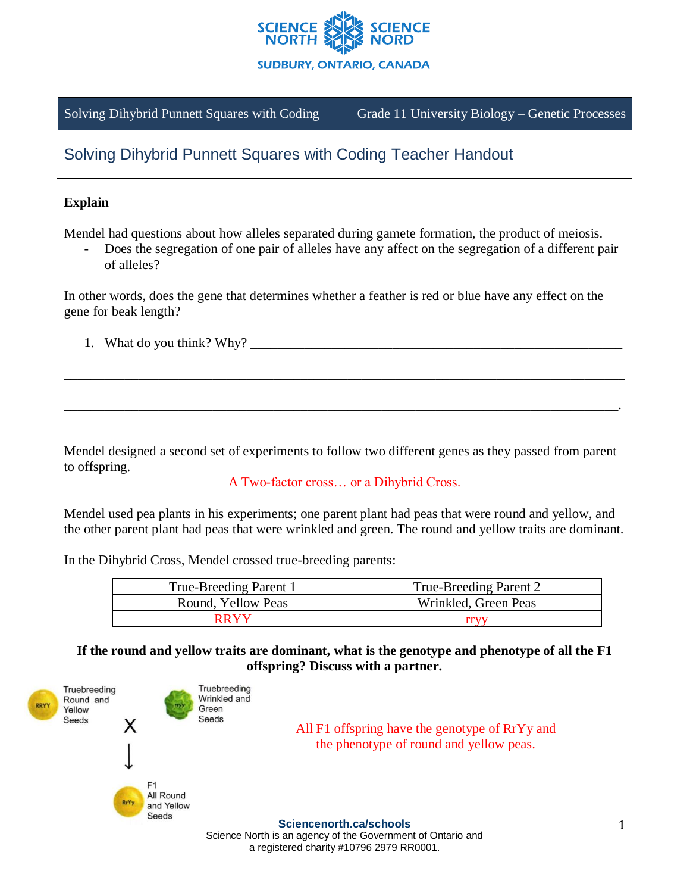

Solving Dihybrid Punnett Squares with Coding Grade 11 University Biology – Genetic Processes

# Solving Dihybrid Punnett Squares with Coding Teacher Handout

# **Explain**

Mendel had questions about how alleles separated during gamete formation, the product of meiosis.

Does the segregation of one pair of alleles have any affect on the segregation of a different pair of alleles?

In other words, does the gene that determines whether a feather is red or blue have any effect on the gene for beak length?

1. What do you think? Why?

Mendel designed a second set of experiments to follow two different genes as they passed from parent to offspring.

\_\_\_\_\_\_\_\_\_\_\_\_\_\_\_\_\_\_\_\_\_\_\_\_\_\_\_\_\_\_\_\_\_\_\_\_\_\_\_\_\_\_\_\_\_\_\_\_\_\_\_\_\_\_\_\_\_\_\_\_\_\_\_\_\_\_\_\_\_\_\_\_\_\_\_\_\_\_\_\_\_\_\_

\_\_\_\_\_\_\_\_\_\_\_\_\_\_\_\_\_\_\_\_\_\_\_\_\_\_\_\_\_\_\_\_\_\_\_\_\_\_\_\_\_\_\_\_\_\_\_\_\_\_\_\_\_\_\_\_\_\_\_\_\_\_\_\_\_\_\_\_\_\_\_\_\_\_\_\_\_\_\_\_\_\_.

## A Two-factor cross… or a Dihybrid Cross.

Mendel used pea plants in his experiments; one parent plant had peas that were round and yellow, and the other parent plant had peas that were wrinkled and green. The round and yellow traits are dominant.

In the Dihybrid Cross, Mendel crossed true-breeding parents:

| True-Breeding Parent 1 | True-Breeding Parent 2 |
|------------------------|------------------------|
| Round, Yellow Peas     | Wrinkled, Green Peas   |
| RRYY                   |                        |

**If the round and yellow traits are dominant, what is the genotype and phenotype of all the F1 offspring? Discuss with a partner.**



Science North is an agency of the Government of Ontario and a registered charity #10796 2979 RR0001.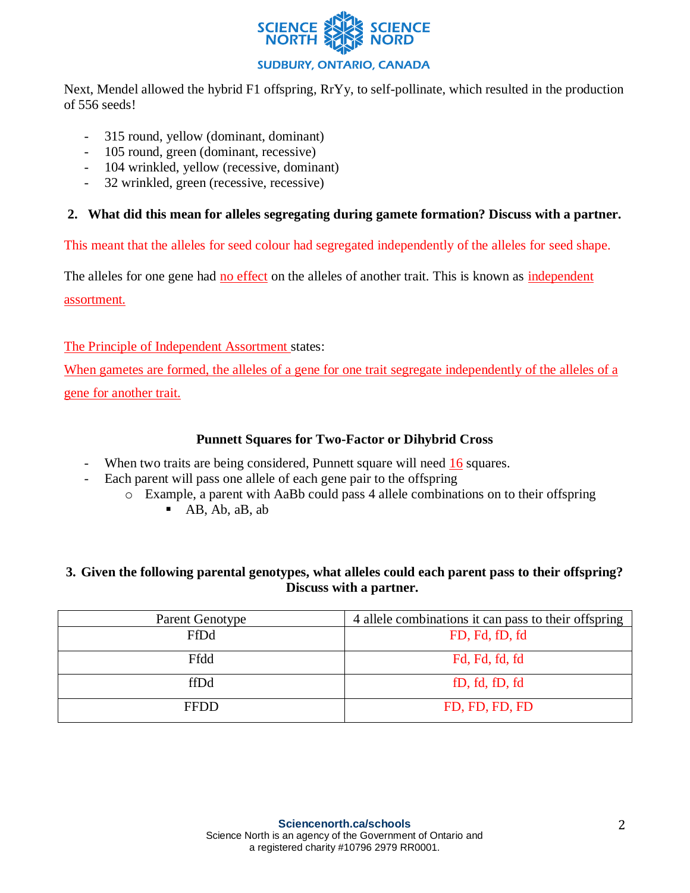

# **SUDBURY, ONTARIO, CANADA**

Next, Mendel allowed the hybrid F1 offspring, RrYy, to self-pollinate, which resulted in the production of 556 seeds!

- 315 round, yellow (dominant, dominant)
- 105 round, green (dominant, recessive)
- 104 wrinkled, yellow (recessive, dominant)
- 32 wrinkled, green (recessive, recessive)

#### **2. What did this mean for alleles segregating during gamete formation? Discuss with a partner.**

This meant that the alleles for seed colour had segregated independently of the alleles for seed shape.

The alleles for one gene had no effect on the alleles of another trait. This is known as independent assortment.

The Principle of Independent Assortment states:

When gametes are formed, the alleles of a gene for one trait segregate independently of the alleles of a gene for another trait.

#### **Punnett Squares for Two-Factor or Dihybrid Cross**

- When two traits are being considered, Punnett square will need 16 squares.
- Each parent will pass one allele of each gene pair to the offspring
	- o Example, a parent with AaBb could pass 4 allele combinations on to their offspring
		- $-$  AB, Ab, aB, ab

## **3. Given the following parental genotypes, what alleles could each parent pass to their offspring? Discuss with a partner.**

| <b>Parent Genotype</b> | 4 allele combinations it can pass to their offspring |
|------------------------|------------------------------------------------------|
| FfDd                   | FD, Fd, fD, fd                                       |
| Ffdd                   | Fd, Fd, fd, fd                                       |
| ffDd                   | fD, fd, fD, fd                                       |
| <b>FFDD</b>            | FD, FD, FD, FD                                       |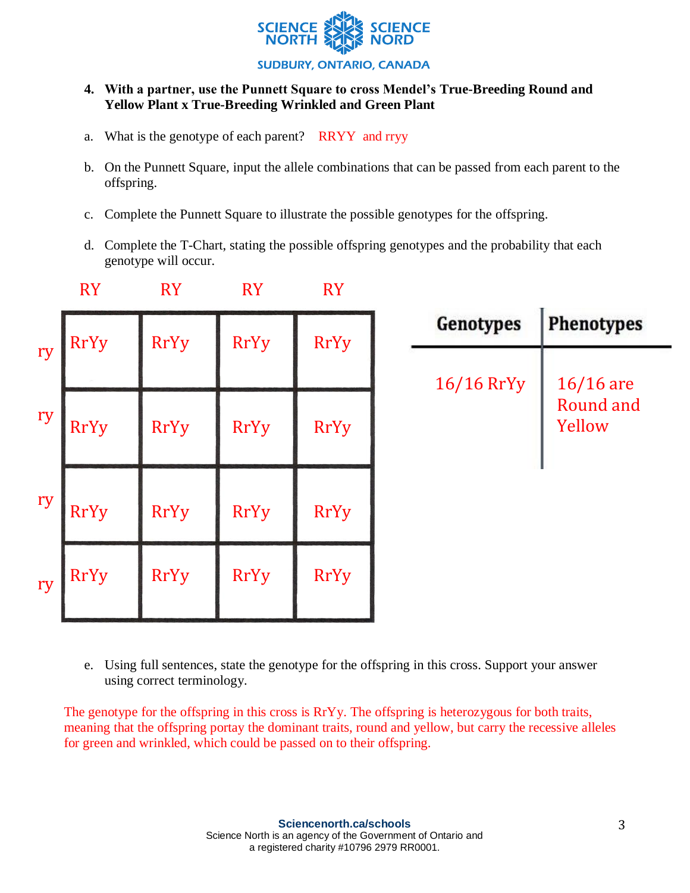

#### **4. With a partner, use the Punnett Square to cross Mendel's True-Breeding Round and Yellow Plant x True-Breeding Wrinkled and Green Plant**

- a. What is the genotype of each parent? RRYY and rryy
- b. On the Punnett Square, input the allele combinations that can be passed from each parent to the offspring.
- c. Complete the Punnett Square to illustrate the possible genotypes for the offspring.
- d. Complete the T-Chart, stating the possible offspring genotypes and the probability that each genotype will occur.

|    | <b>RY</b>   | <b>RY</b>   | <b>RY</b>   | <b>RY</b>   |                  |                                           |
|----|-------------|-------------|-------------|-------------|------------------|-------------------------------------------|
| ry | <b>RrYy</b> | <b>RrYy</b> | <b>RrYy</b> | <b>RrYy</b> | <b>Genotypes</b> | Phenotypes                                |
| ry | <b>RrYy</b> | <b>RrYy</b> | <b>RrYy</b> | <b>RrYy</b> | $16/16$ RrYy     | $16/16$ are<br><b>Round and</b><br>Yellow |
| ry | <b>RrYy</b> | <b>RrYy</b> | <b>RrYy</b> | <b>RrYy</b> |                  |                                           |
| ry | <b>RrYy</b> | <b>RrYy</b> | <b>RrYy</b> | <b>RrYy</b> |                  |                                           |

e. Using full sentences, state the genotype for the offspring in this cross. Support your answer using correct terminology.

The genotype for the offspring in this cross is RrYy. The offspring is heterozygous for both traits, meaning that the offspring portay the dominant traits, round and yellow, but carry the recessive alleles for green and wrinkled, which could be passed on to their offspring.